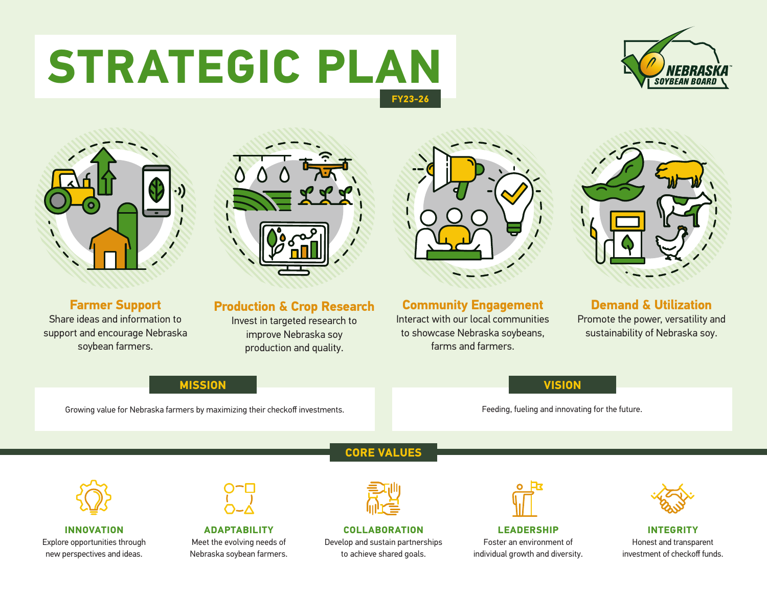# **STRATEGIC PLAN FY23-26**





**Farmer Support** Share ideas and information to support and encourage Nebraska soybean farmers.



**Production & Crop Research**

Invest in targeted research to improve Nebraska soy production and quality.



**Community Engagement** Interact with our local communities to showcase Nebraska soybeans, farms and farmers.



**Demand & Utilization** Promote the power, versatility and sustainability of Nebraska soy.

### **MISSION VISION**

Growing value for Nebraska farmers by maximizing their checkoff investments. For the future. Feeding, fueling and innovating for the future.



**INNOVATION**  Explore opportunities through new perspectives and ideas.



**ADAPTABILITY** Meet the evolving needs of Nebraska soybean farmers. **CORE VALUES**



**COLLABORATION** Develop and sustain partnerships to achieve shared goals.



**LEADERSHIP**  Foster an environment of individual growth and diversity.



**INTEGRITY**  Honest and transparent investment of checkoff funds.